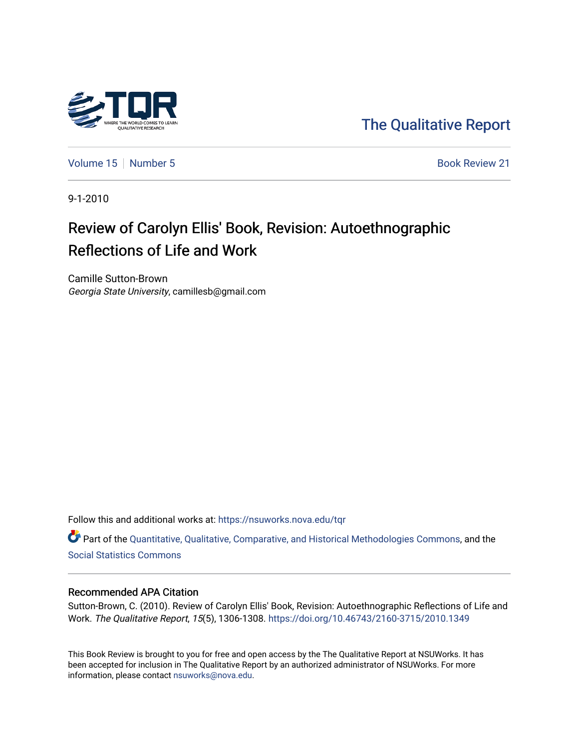

[The Qualitative Report](https://nsuworks.nova.edu/tqr) 

[Volume 15](https://nsuworks.nova.edu/tqr/vol15) [Number 5](https://nsuworks.nova.edu/tqr/vol15/iss5) Book Review 21

9-1-2010

# Review of Carolyn Ellis' Book, Revision: Autoethnographic Reflections of Life and Work

Camille Sutton-Brown Georgia State University, camillesb@gmail.com

Follow this and additional works at: [https://nsuworks.nova.edu/tqr](https://nsuworks.nova.edu/tqr?utm_source=nsuworks.nova.edu%2Ftqr%2Fvol15%2Fiss5%2F21&utm_medium=PDF&utm_campaign=PDFCoverPages) 

Part of the [Quantitative, Qualitative, Comparative, and Historical Methodologies Commons,](http://network.bepress.com/hgg/discipline/423?utm_source=nsuworks.nova.edu%2Ftqr%2Fvol15%2Fiss5%2F21&utm_medium=PDF&utm_campaign=PDFCoverPages) and the [Social Statistics Commons](http://network.bepress.com/hgg/discipline/1275?utm_source=nsuworks.nova.edu%2Ftqr%2Fvol15%2Fiss5%2F21&utm_medium=PDF&utm_campaign=PDFCoverPages) 

#### Recommended APA Citation

Sutton-Brown, C. (2010). Review of Carolyn Ellis' Book, Revision: Autoethnographic Reflections of Life and Work. The Qualitative Report, 15(5), 1306-1308. <https://doi.org/10.46743/2160-3715/2010.1349>

This Book Review is brought to you for free and open access by the The Qualitative Report at NSUWorks. It has been accepted for inclusion in The Qualitative Report by an authorized administrator of NSUWorks. For more information, please contact [nsuworks@nova.edu.](mailto:nsuworks@nova.edu)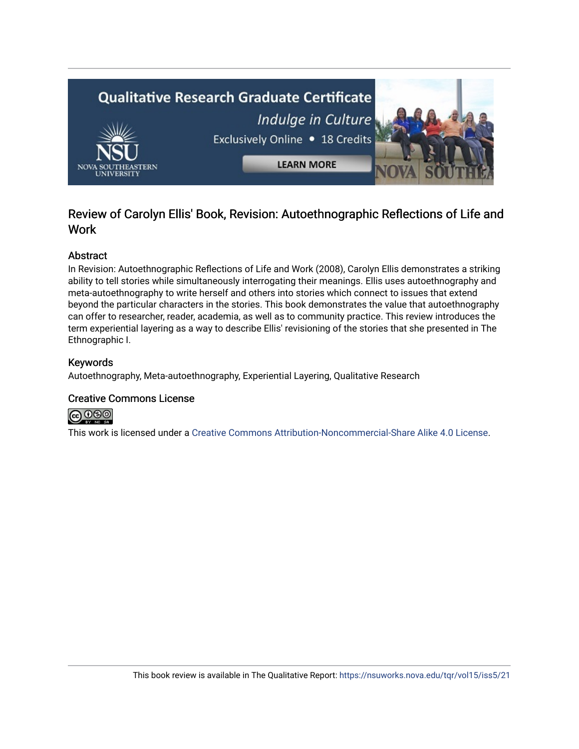

## Review of Carolyn Ellis' Book, Revision: Autoethnographic Reflections of Life and Work

### Abstract

In Revision: Autoethnographic Reflections of Life and Work (2008), Carolyn Ellis demonstrates a striking ability to tell stories while simultaneously interrogating their meanings. Ellis uses autoethnography and meta-autoethnography to write herself and others into stories which connect to issues that extend beyond the particular characters in the stories. This book demonstrates the value that autoethnography can offer to researcher, reader, academia, as well as to community practice. This review introduces the term experiential layering as a way to describe Ellis' revisioning of the stories that she presented in The Ethnographic I.

### Keywords

Autoethnography, Meta-autoethnography, Experiential Layering, Qualitative Research

### Creative Commons License



This work is licensed under a [Creative Commons Attribution-Noncommercial-Share Alike 4.0 License](https://creativecommons.org/licenses/by-nc-sa/4.0/).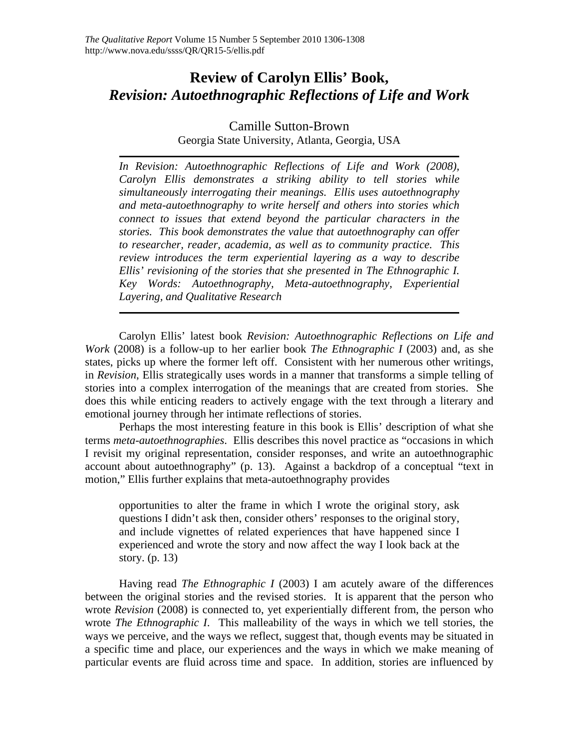## **Review of Carolyn Ellis' Book,**  *Revision: Autoethnographic Reflections of Life and Work*

### Camille Sutton-Brown Georgia State University, Atlanta, Georgia, USA

*In Revision: Autoethnographic Reflections of Life and Work (2008), Carolyn Ellis demonstrates a striking ability to tell stories while simultaneously interrogating their meanings. Ellis uses autoethnography and meta-autoethnography to write herself and others into stories which connect to issues that extend beyond the particular characters in the stories. This book demonstrates the value that autoethnography can offer to researcher, reader, academia, as well as to community practice. This review introduces the term experiential layering as a way to describe Ellis' revisioning of the stories that she presented in The Ethnographic I. Key Words: Autoethnography, Meta-autoethnography, Experiential Layering, and Qualitative Research* 

Carolyn Ellis' latest book *Revision: Autoethnographic Reflections on Life and Work* (2008) is a follow-up to her earlier book *The Ethnographic I* (2003) and, as she states, picks up where the former left off. Consistent with her numerous other writings, in *Revision*, Ellis strategically uses words in a manner that transforms a simple telling of stories into a complex interrogation of the meanings that are created from stories. She does this while enticing readers to actively engage with the text through a literary and emotional journey through her intimate reflections of stories.

 Perhaps the most interesting feature in this book is Ellis' description of what she terms *meta-autoethnographies*. Ellis describes this novel practice as "occasions in which I revisit my original representation, consider responses, and write an autoethnographic account about autoethnography" (p. 13). Against a backdrop of a conceptual "text in motion," Ellis further explains that meta-autoethnography provides

opportunities to alter the frame in which I wrote the original story, ask questions I didn't ask then, consider others' responses to the original story, and include vignettes of related experiences that have happened since I experienced and wrote the story and now affect the way I look back at the story. (p. 13)

 Having read *The Ethnographic I* (2003) I am acutely aware of the differences between the original stories and the revised stories. It is apparent that the person who wrote *Revision* (2008) is connected to, yet experientially different from, the person who wrote *The Ethnographic I*. This malleability of the ways in which we tell stories, the ways we perceive, and the ways we reflect, suggest that, though events may be situated in a specific time and place, our experiences and the ways in which we make meaning of particular events are fluid across time and space. In addition, stories are influenced by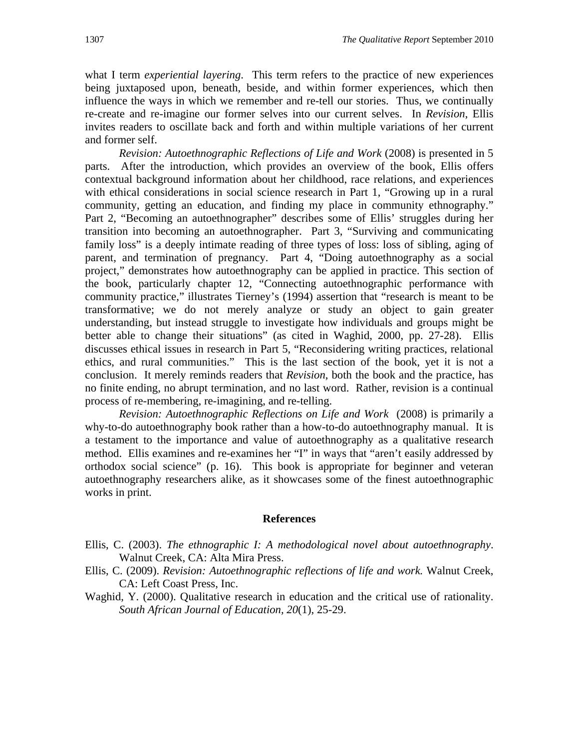what I term *experiential layering*. This term refers to the practice of new experiences being juxtaposed upon, beneath, beside, and within former experiences, which then influence the ways in which we remember and re-tell our stories. Thus, we continually re-create and re-imagine our former selves into our current selves. In *Revision*, Ellis invites readers to oscillate back and forth and within multiple variations of her current and former self.

*Revision: Autoethnographic Reflections of Life and Work* (2008) is presented in 5 parts. After the introduction, which provides an overview of the book, Ellis offers contextual background information about her childhood, race relations, and experiences with ethical considerations in social science research in Part 1, "Growing up in a rural community, getting an education, and finding my place in community ethnography." Part 2, "Becoming an autoethnographer" describes some of Ellis' struggles during her transition into becoming an autoethnographer. Part 3, "Surviving and communicating family loss" is a deeply intimate reading of three types of loss: loss of sibling, aging of parent, and termination of pregnancy. Part 4, "Doing autoethnography as a social project," demonstrates how autoethnography can be applied in practice. This section of the book, particularly chapter 12, "Connecting autoethnographic performance with community practice," illustrates Tierney's (1994) assertion that "research is meant to be transformative; we do not merely analyze or study an object to gain greater understanding, but instead struggle to investigate how individuals and groups might be better able to change their situations" (as cited in Waghid, 2000, pp. 27-28). Ellis discusses ethical issues in research in Part 5, "Reconsidering writing practices, relational ethics, and rural communities." This is the last section of the book, yet it is not a conclusion. It merely reminds readers that *Revision*, both the book and the practice, has no finite ending, no abrupt termination, and no last word. Rather, revision is a continual process of re-membering, re-imagining, and re-telling.

*Revision: Autoethnographic Reflections on Life and Work* (2008) is primarily a why-to-do autoethnography book rather than a how-to-do autoethnography manual. It is a testament to the importance and value of autoethnography as a qualitative research method. Ellis examines and re-examines her "I" in ways that "aren't easily addressed by orthodox social science" (p. 16). This book is appropriate for beginner and veteran autoethnography researchers alike, as it showcases some of the finest autoethnographic works in print.

#### **References**

- Ellis, C. (2003). *The ethnographic I: A methodological novel about autoethnography*. Walnut Creek, CA: Alta Mira Press.
- Ellis, C. (2009). *Revision: Autoethnographic reflections of life and work.* Walnut Creek, CA: Left Coast Press, Inc.
- Waghid, Y. (2000). Qualitative research in education and the critical use of rationality. *South African Journal of Education, 20*(1), 25-29.